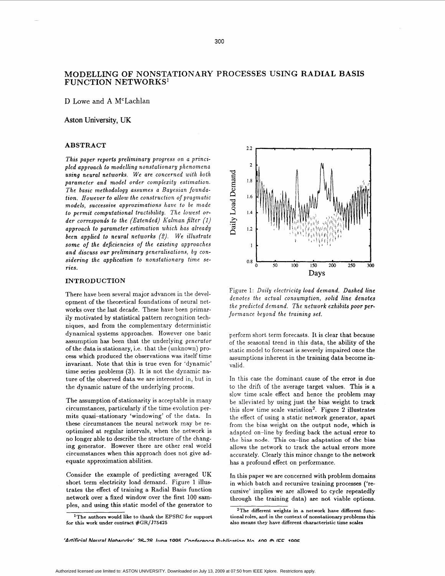# **MODELLING OF NONSTATIONARY PROCESSES USING RADIAL BASIS FUNCTION NETWORKS'**

D Lowe and **A** M'Lachlan

### **Aston University,** UK

### **ABSTRACT**

*This paper reports preliminary progress on a principled approach to modelling nonstationary phenomena using neural networks. We are concerned with both parameter and model order complexity estimation. The basic methodology assumes a Bayesian foundation. However to allow the construction of pragmatic models, successive approximations have to be made lo permit computational tractibility. The lowest order corresponds to the (Extended) Kalman filter (1) approach 20 parameter estimation which has already been applied to neural networks* (2). *We illustrate some of the deficiencies of the existing approaches and discuss our preliminary generalisations, by considering the application to nonstationary time series.* 

### **INTRODUCTION**

There have been several major advances in the development of the theoretical foundations of neural net**works** over the last decade. These have been primarily motivated by statistical pattern recognition techniques, and from the complementary deterministic dynamical systems approaches. However one basic assumption **has** been that the underlying *generator*  of the data is stationary, i.e. that the (unknown) process which produced the observations was itself time invariant. Note that this is true even for 'dynamic' time series problems **(3).** It is not the dynamic nature of the observed data we are interested in, but in the dynamic nature of the underlying process.

The assumption of stationarity is acceptable in many circumstances, particularly if the time evolution permits quasi-stationary 'windowing' of the data. In these circumstances the neural network may be reoptimised at regular intervals, when the network is no longer able to describe the structure of the changing generator. However there are other real world circumstances when this approach does not give adequate approximation abilities.

Consider the example of predicting averaged UK short term electricity load demand. Figure 1 illustrates the effect **of** training a Radial Basis function network over a fixed window over the first 100 samples, and using this static model of the generator to



Figure 1: *Daily electricity load demand. Dashed line denotes the actual consumption, solid line denotes the predicted demand. The network exhibits poor performance beyond the training set.* 

perform short term forecasts. It is clear that because of the seasonal trend in this data, the ability of the static model to forecast is severely impaired once the assumptions inherent in the training data become invalid.

In this case the dominant cause of the error is due to the drift of the average target values. This is a slow time scale effect and hence the problem may be alleviated by using just the bias weight to track this slow time scale variation'. Figure **2** illustrates the effect of using a static network generator, apart from the bias weight on the output node, which is adapted on-line by feeding back the actual error to the bias node. **This** on-line adaptation **of** the bias allows the network to track the actual errors more accurately. Clearly this minor change to the network has a profound effect on performance.

In this paper we are concerned with problem domains in which batch and recursive training processes **('re**cursive' implies we are allowed to cycle repeatedly through the training data) are not viable options.

**IThe authors would like to thank the** EPSRC **for support for this work under contract #GR/J75425** 

**<sup>2</sup>The different weights in a network have different functional roles, and in the context of nonstationary problems this also means they have different characteristic time scales**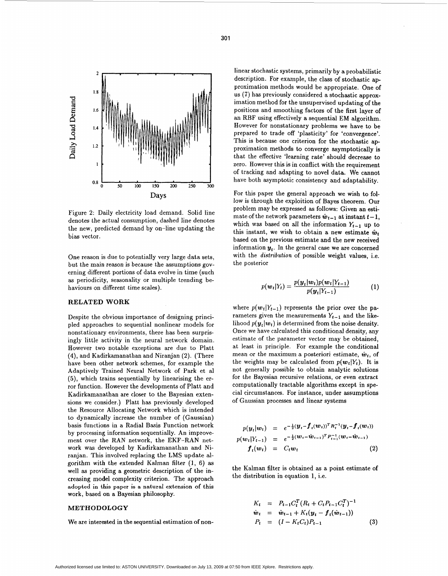

Figure **2:** Daily electricity load demand. Solid line denotes the actual consumption, dashed line denotes the new, predicted demand by on-line updating the bias vector.

One reason is due to potentially very large data sets, *but* the main reason is because the assumptions governing different portions of data evolve in time (such **as** periodicity, seasonality or multiple trending behaviours on different time scales).

## **RELATED WORK**

Despite the obvious importance of designing principled approaches to sequential nonlinear models for nonstationary environments, there has been surprisingly little activity in the neural network domain. However two notable exceptions are due to Platt **(4),** and Kadirkamanathan and Niranjan **(2).** (There have been other network schemes, for example the Adaptively Trained Neural Network of Park et a1 (5), which trains sequentially by linearising the error function. However the developments of Platt and Kadirkamanathan are closer to the Bayesian extensions we consider.) Platt has previously developed the Resource Allocating Network which is intended to dynamically increase the number of (Gaussian) basis functions in a Radial Basis Function network by processing information sequentially. An improvement over the RAN network, the EKF-RAN network was developed by Kadirkamanathan and Niranjan. This involved replacing the LMS update algorithm with the extended Kalman filter **(1, 6) as**  well **as** providing a geometric description of the increasing model complexity criterion. The approach adopted in this paper is **a** natural extension of this work, based on a Bayesian philosophy.

#### **METHODOLOGY**

We are interested in the sequential estimation of non-

linear stochastic systems, primarily by a probabilistic description. For example, the class of stochastic approximation methods would be appropriate. One of us (7) has previously considered a stochastic approximation method for the unsupervised updating of the positions and smoothing factors of the first layer of an RBF using ef'ectively a sequential EM algorithm. However for nonstationary problems we have to be prepared to trade off 'plasticity' for 'convergence'. This is because one criterion for the stochastic approximation methods to converge asymptotically **is**  that the effective 'learning rate' should decrease to zero. However this is in conflict with the requirement of tracking amd adapting to novel data. **We** cannot have both asymptotic consistency and adaptability.

For this paper the general approach we wish to follow is through the exploition of Bayes theorem. Our problem may be expressed **as** follows: Given an estimate of the network parameters  $\hat{\boldsymbol{w}}_{t-1}$  at instant  $t-1$ , which was based on all the information  $Y_{t-1}$  up to this instant, we wish to obtain a new estimate  $\hat{w}_t$ based on the previous estimate and the new received information  $y_t$ . In the general case we are concerned with the *distribution* of possible weight values, i.e. the posterior

Í

$$
p(\mathbf{w}_t|Y_t) = \frac{p(\mathbf{y}_t|\mathbf{w}_t)p(\mathbf{w}_t|Y_{t-1})}{p(\mathbf{y}_t|Y_{t-1})}
$$
(1)

where  $p(w_t|Y_{t-1})$  represents the prior over the parameters given the measurements  $Y_{t-1}$  and the likelihood  $p(y_t|w_t)$  is determined from the noise density. Once we have calculated this conditional density, any estimate of the parameter vector may be obtained, at least in principle. For example the conditional mean or the maximum a posteriori estimate,  $\hat{w}_t$ , of the weights may be calculated from  $p(\boldsymbol{w}_t|Y_t)$ . It is not generally possible to obtain analytic solutions for the Bayesian recursive relations, or even extract computationally tractable algorithms except in special circumstances. For instance, under assumptions of Gaussian processes and linear systems

$$
p(\mathbf{y}_t|\mathbf{w}_t) = e^{-\frac{1}{2}(\mathbf{y}_t - \mathbf{f}_t(\mathbf{w}_t))^T R_t^{-1}(\mathbf{y}_t - \mathbf{f}_t(\mathbf{w}_t))}
$$
  
\n
$$
p(\mathbf{w}_t|Y_{t-1}) = e^{-\frac{1}{2}(\mathbf{w}_t - \mathbf{w}_{t-1})^T P_{t-1}^{-1}(\mathbf{w}_t - \mathbf{w}_{t-1})}
$$
  
\n
$$
\mathbf{f}_t(\mathbf{w}_t) = C_t \mathbf{w}_t
$$
\n(2)

the Kalman filter is obtained **as** a point estimate of the distribution in equation **1,** i.e.

$$
K_t = P_{t-1}C_t^T (R_t + C_t P_{t-1} C_t^T)^{-1}
$$
  
\n
$$
\hat{w}_t = \hat{w}_{t-1} + K_t (y_t - f_t(\hat{w}_{t-1}))
$$
  
\n
$$
P_t = (I - K_t C_t) P_{t-1}
$$
\n(3)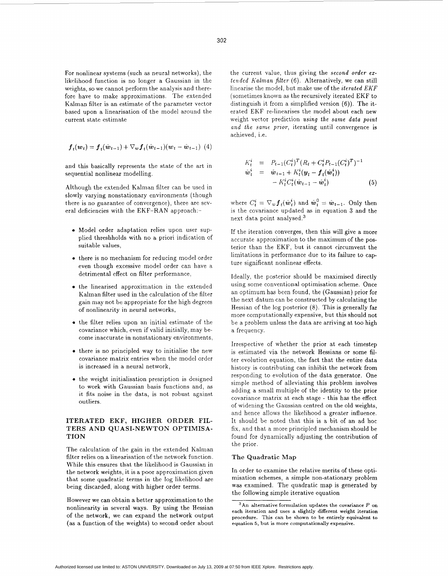For nonlinear systems (such as neural networks), the likelihood function is no longer a Gaussian in the weights, *so* we cannot perform the analysis and therefore have to make approximations. The extended Kalman filter is an estimate of the parameter vector based upon a linearisation of the model around the current state estimate

$$
\boldsymbol{f}_{t}(\boldsymbol{w}_{t}) = \boldsymbol{f}_{t}(\hat{\boldsymbol{w}}_{t-1}) + \nabla_{\boldsymbol{w}} \boldsymbol{f}_{t}(\hat{\boldsymbol{w}}_{t-1}) (\boldsymbol{w}_{t} - \hat{\boldsymbol{w}}_{t-1})
$$
(4)

and this basically represents the state of the art in sequential nonlinear modelling.

Although the extended Kalman filter can be used in slowly varying nonstationary environments (though there is no guarantee of convergence), there are several deficiencies with the EKF-RAN approach:-

- **e** Model order adaptation relies upon user supplied threshholds with no a priori indication of suitable values,
- there is no mechanism for reducing model order even though excessive model order can have a detrimental effect on filter performance,
- *0* the linearised approximation in the extended Kalman filter used in the calculation of the filter gain may not be appropriate for the high degrees of nonlinearity in neural networks,
- the filter relies upon an initial estimate of the covariance which, even if valid initially, may become inaccurate in nonstationary environments,
- **e** there is no principled way to initialise the new covariance matrix entries when the model order is increased in a neural network,
- the weight initialisation presription is designed to work with Gaussian basis functions and, as it fits noise in the data, is not robust against outliers.

# ITERATED EKF, HIGHER ORDER FIL-TERS AND QUASI-NEWTON OPTIMISA-**TIQN**

The calculation of the gain in the extended Kalman filter relies on a linearisation of the network function. While this ensures that the likelihood is Gaussian in the network weights, it is a poor approximation given that some quadratic terms in the log likelihood are being discarded, along with higher order terms.

However we can obtain a better approximation to the nonlinearity in several ways. By using the Hessian of the network, we can expand the network output (as a function of the weights) to second order about

the current value, thus giving the *second order extended halman filter (6).* Alternatively, we can still linearise the model, but make use of the *iterated EKF* (sometimes known as the recursively iterated EKF to distinguish it from a simplified version (6)). The iterated EKF re-linearises the model about each new weight vector prediction *using the same data point* and the same prior, iterating until convergence is achieved, i.e.

$$
K_t^i = P_{t-1}(C_t^i)^T (R_t + C_t^i P_{t-1}(C_t^i)^T)^{-1}
$$
  
\n
$$
\hat{w}_t^i = \hat{w}_{t-1} + K_t^i (\mathbf{y}_t - \mathbf{f}_t(\hat{w}_t^i))
$$
  
\n
$$
- K_t^i C_t^i (\hat{w}_{t-1} - \hat{w}_t^i)
$$
\n(5)

where  $C_t^i = \nabla_w \boldsymbol{f}_t(\hat{\boldsymbol{w}}_t^i)$  and  $\hat{\boldsymbol{w}}_t^0 = \hat{\boldsymbol{w}}_{t-1}$ . Only then is the covariance updated as in equation 3 and the next data point analysed. $3$ 

If the iteration converges, then this will give a more accurate approximation to the maximum of the posterior than the EKF, but it cannot circumvent the limitations in performance due to its failure to capture significant nonlinear effects.

Ideally, the posterior should be maximised directly using some conventional optimisation scheme. Once an optimum has been found, the (Gaussian) prior for the next datum can be constructed by calculating the Hessian of the log posterior  $(8)$ . This is generally far more computationally expensive, but this should not be a problem unless the data are arriving at too high a frequency.

Irrespective of whether the prior at each timestep is estimated via the network Hessians or some filter evolution equation, the fact that the entire data history is contributing can inhibit the network from responding to evolution of the data generator. One simple method of alleviating this problem involves adding a small multiple of the identity to the prior covariance matrix at each stage - this has the effect of widening the Gaussian centred on the old weights, and hence allows the likelihood a greater influence. It should be noted that this is a bit of an ad hoc fix. and that a more principled mechanism should be found for dynamically adjusting the contribution of the prior.

#### **The Quadratic Map**

In order to examine the relative merits of these optimisation schemes, a simple non-stationary problem was examined. The quadratic map is generated by the following simple iterative equation

 $3$ An alternative formulation updates the covariance  $P$  on each iteration and uses **a** slightly different weight iteration procedure. This can be **shown** to be entirely equivalent **to**  equation **5,** but **is** more computationally expensive.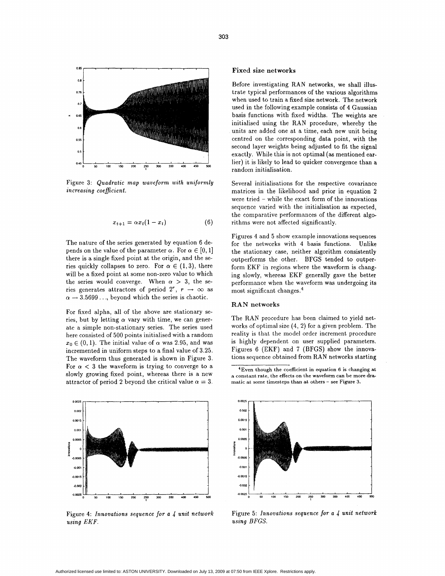

Figure **3:** *Quadratic map waveform with uniformly increasing coefficient.* 

$$
x_{t+1} = \alpha x_t (1 - x_t) \tag{6}
$$

The nature of the series generated by equation 6 depends on the value of the parameter  $\alpha$ . For  $\alpha \in [0, 1]$ there is a single fixed point at the origin, and the series quickly collapses to zero. For  $\alpha \in (1,3)$ , there will be a fixed point at some non-zero value to which the series would converge. When  $\alpha > 3$ , the series generates attractors of period  $2^r$ ,  $r \rightarrow \infty$  as  $\alpha \rightarrow 3.5699...$ , beyond which the series is chaotic.

For fixed alpha, all of the above are stationary series, but by letting  $\alpha$  vary with time, we can generate a simple non-stationary series. The series used here consisted of 500 points initialised with a random  $x_0 \in (0,1)$ . The initial value of  $\alpha$  was 2.95, and was incremented in uniform steps to a final value of **3.25.**  The waveform thus generated is shown in Figure **3.**  For  $\alpha$  < 3 the waveform is trying to converge to a. slowly growing fixed point, whereas there is a new attractor of period 2 beyond the critical value  $\alpha = 3$ .



Figure **4:** *Innovations sequence for a 4 unit network using EKF.* 

### **Fixed size networks**

Before investigating RAN networks, we shall illustrate typical performances of the various algorithms when used to train a fixed size network. The network used in the following example consists of **4** Gaussian basis functions with fixed widths. The weights are initialised using the RAN procedure, whereby the units are added one at a time, each new unit being centred on the corresponding data point, with the second layer weights being adjusted to fit the signal exactly. While this is not optimal **(as** mentioned earlier) it is likely to lead to quicker convergence than a random initialisation.

Several initialisations for the respective covariance matrices in the likelihood and prior in equation **2**  were tried - while the exact form of the innovations sequence varied with the initialisation **as** expected, the comparative performances of the different algorithms were not affected significantly.

Figures **4** and 5 show example innovations sequences for the networks with **4** basis functions. Unlike the stationary case, neither algorithm consistently outperforms the other. BFGS tended to outperform EKF in regions where the waveform is changing slowly, whereas EKF generally gave the better performance when the waveform was undergoing its most significant changes.4

#### **RAN networks**

The RAN procedure has been claimed to yield networks of optimal size **(4,** 2) for a given problem. The reality is that the model order increment procedure is highly dependent on user supplied parameters. Figures 6 (EKF) and 7 (BFGS) show the innovations sequence obtained from RAN networks starting

<sup>4</sup>Even though the coefficient in equation 6 is changing at a constant rate, the effects on the waveform can be more dramatic at some timesteps than at others - see Figure 3.



Figure 5: *Innovations sequence for a 4 unit network using BFGS.*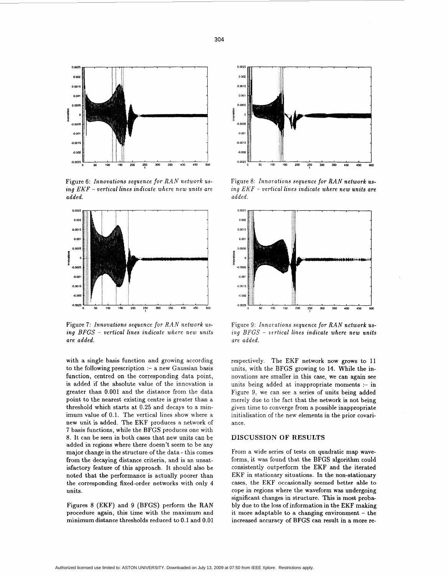

Figure 6: Innovations sequence for RAN network using EKF - vertical lines indicate where new units are added.



Figure 7: Innovations sequence for RAN network using BFGS - vertical lines indicate where new units are added.

with a single basis function and growing according to the following prescription :- a new Gaussian basis function, centred on the corresponding data point, is added if the absolute value of the innovation is greater than 0.001 and the distance from the data point to the nearest existing centre is greater than a threshold which starts at 0.25 and decays to a minimum value of 0.1. The vertical lines show where a new unit is added. The EKF produces a network of 7 basis functions, while the BFGS produces one with 8. It can be seen in both cases that new units can be added in regions where there doesn't seem to be any major change in the structure of the data - this comes from the decaying distance criteria, and is an unsatisfactory feature of this approach. It should also be noted that the performance is actually poorer than the corresponding fixed-order networks with only 4 units.

Figures 8 (EKF) and 9 (BFGS) perform the RAN procedure again, this time with the maximum and minimum distance thresholds reduced to 0.1 and 0.01



Figure 8: Innovations sequence for RAN network using  $EKF$  – vertical lines indicate where new units are added.



Figure 9: Innovations sequence for RAN network using BFGS - vertical lines indicate where new units are added.

respectively. The EKF network now grows to 11 units, with the BFGS growing to 14. While the innovations are smaller in this case, we can again see units being added at inappropriate moments :- in Figure 9, we can see a series of units being added merely due to the fact that the network is not being given time to converge from a possible inappropriate initialisation of the new elements in the prior covariance.

### **DISCUSSION OF RESULTS**

From a wide series of tests on quadratic map waveforms, it was found that the BFGS algorithm could consistently outperform the EKF and the iterated EKF in stationary situations. In the non-stationary cases, the EKF occasionally seemed better able to cope in regions where the waveform was undergoing significant changes in structure. This is most probably due to the loss of information in the EKF making it more adaptable to a changing environment  $-$  the increased accuracy of BFGS can result in a more re